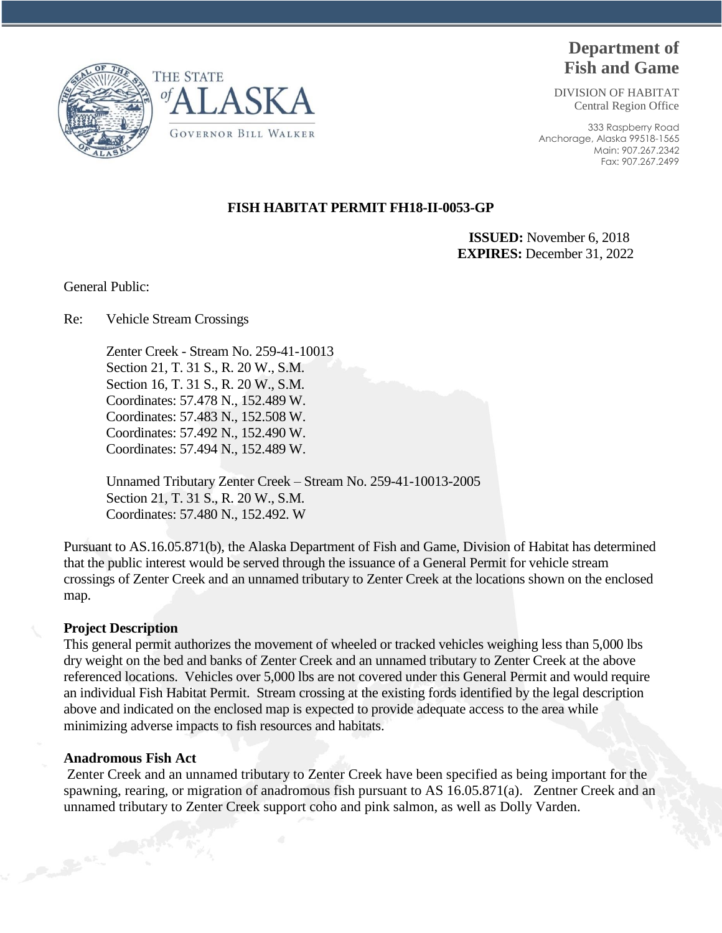

# **Department of Fish and Game**

DIVISION OF HABITAT Central Region Office

333 Raspberry Road Anchorage, Alaska 99518-1565 Main: 907.267.2342 Fax: 907.267.2499

# **FISH HABITAT PERMIT FH18-II-0053-GP**

 **ISSUED:** November 6, 2018 **EXPIRES:** December 31, 2022

General Public:

Re: Vehicle Stream Crossings

Zenter Creek - Stream No. 259-41-10013 Section 21, T. 31 S., R. 20 W., S.M. Section 16, T. 31 S., R. 20 W., S.M. Coordinates: 57.478 N., 152.489 W. Coordinates: 57.483 N., 152.508 W. Coordinates: 57.492 N., 152.490 W. Coordinates: 57.494 N., 152.489 W.

Unnamed Tributary Zenter Creek – Stream No. 259-41-10013-2005 Section 21, T. 31 S., R. 20 W., S.M. Coordinates: 57.480 N., 152.492. W

Pursuant to AS.16.05.871(b), the Alaska Department of Fish and Game, Division of Habitat has determined that the public interest would be served through the issuance of a General Permit for vehicle stream crossings of Zenter Creek and an unnamed tributary to Zenter Creek at the locations shown on the enclosed map.

### **Project Description**

This general permit authorizes the movement of wheeled or tracked vehicles weighing less than 5,000 lbs dry weight on the bed and banks of Zenter Creek and an unnamed tributary to Zenter Creek at the above referenced locations. Vehicles over 5,000 lbs are not covered under this General Permit and would require an individual Fish Habitat Permit. Stream crossing at the existing fords identified by the legal description above and indicated on the enclosed map is expected to provide adequate access to the area while minimizing adverse impacts to fish resources and habitats.

## **Anadromous Fish Act**

Zenter Creek and an unnamed tributary to Zenter Creek have been specified as being important for the spawning, rearing, or migration of anadromous fish pursuant to AS 16.05.871(a). Zentner Creek and an unnamed tributary to Zenter Creek support coho and pink salmon, as well as Dolly Varden.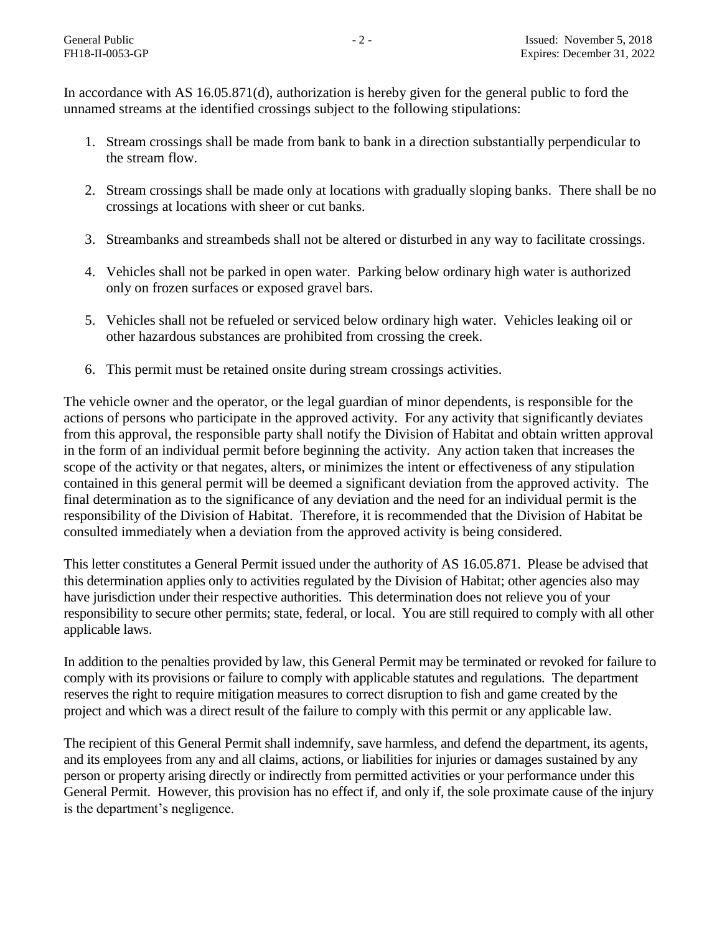In accordance with AS 16.05.871(d), authorization is hereby given for the general public to ford the unnamed streams at the identified crossings subject to the following stipulations:

- 1. Stream crossings shall be made from bank to bank in a direction substantially perpendicular to the stream flow.
- 2. Stream crossings shall be made only at locations with gradually sloping banks. There shall be no crossings at locations with sheer or cut banks.
- 3. Streambanks and streambeds shall not be altered or disturbed in any way to facilitate crossings.
- 4. Vehicles shall not be parked in open water. Parking below ordinary high water is authorized only on frozen surfaces or exposed gravel bars.
- 5. Vehicles shall not be refueled or serviced below ordinary high water. Vehicles leaking oil or other hazardous substances are prohibited from crossing the creek.
- 6. This permit must be retained onsite during stream crossings activities.

The vehicle owner and the operator, or the legal guardian of minor dependents, is responsible for the actions of persons who participate in the approved activity. For any activity that significantly deviates from this approval, the responsible party shall notify the Division of Habitat and obtain written approval in the form of an individual permit before beginning the activity. Any action taken that increases the scope of the activity or that negates, alters, or minimizes the intent or effectiveness of any stipulation contained in this general permit will be deemed a significant deviation from the approved activity. The final determination as to the significance of any deviation and the need for an individual permit is the responsibility of the Division of Habitat. Therefore, it is recommended that the Division of Habitat be consulted immediately when a deviation from the approved activity is being considered.

This letter constitutes a General Permit issued under the authority of AS 16.05.871. Please be advised that this determination applies only to activities regulated by the Division of Habitat; other agencies also may have jurisdiction under their respective authorities. This determination does not relieve you of your responsibility to secure other permits; state, federal, or local. You are still required to comply with all other applicable laws.

In addition to the penalties provided by law, this General Permit may be terminated or revoked for failure to comply with its provisions or failure to comply with applicable statutes and regulations. The department reserves the right to require mitigation measures to correct disruption to fish and game created by the project and which was a direct result of the failure to comply with this permit or any applicable law.

The recipient of this General Permit shall indemnify, save harmless, and defend the department, its agents, and its employees from any and all claims, actions, or liabilities for injuries or damages sustained by any person or property arising directly or indirectly from permitted activities or your performance under this General Permit. However, this provision has no effect if, and only if, the sole proximate cause of the injury is the department's negligence.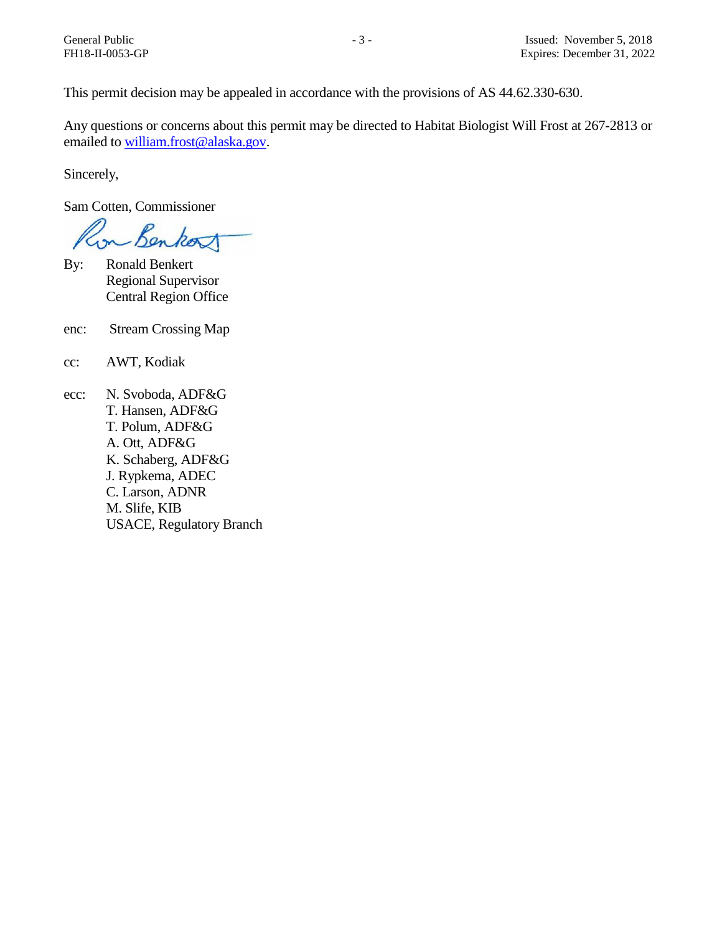This permit decision may be appealed in accordance with the provisions of AS 44.62.330-630.

Any questions or concerns about this permit may be directed to Habitat Biologist Will Frost at 267-2813 or emailed t[o william.frost@alaska.gov.](mailto:william.frost@alaska.gov)

Sincerely,

Sam Cotten, Commissioner

for Benkort

- By: Ronald Benkert Regional Supervisor Central Region Office
- enc: Stream Crossing Map
- cc: AWT, Kodiak
- ecc: N. Svoboda, ADF&G T. Hansen, ADF&G T. Polum, ADF&G A. Ott, ADF&G K. Schaberg, ADF&G J. Rypkema, ADEC C. Larson, ADNR M. Slife, KIB USACE, Regulatory Branch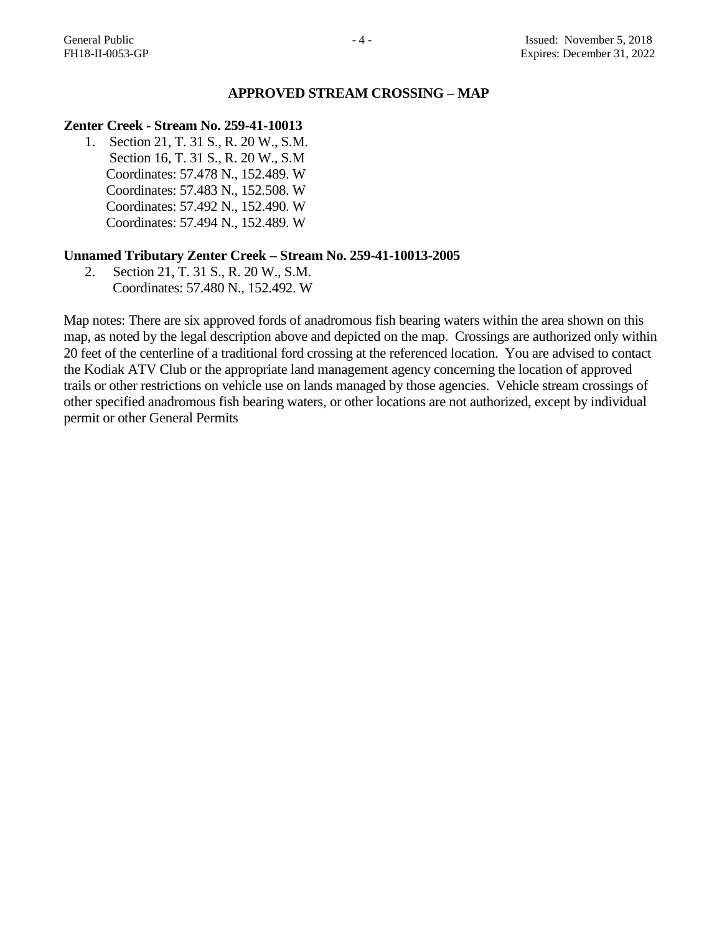#### **APPROVED STREAM CROSSING – MAP**

## **Zenter Creek - Stream No. 259-41-10013**

1. Section 21, T. 31 S., R. 20 W., S.M. Section 16, T. 31 S., R. 20 W., S.M Coordinates: 57.478 N., 152.489. W Coordinates: 57.483 N., 152.508. W Coordinates: 57.492 N., 152.490. W Coordinates: 57.494 N., 152.489. W

#### **Unnamed Tributary Zenter Creek – Stream No. 259-41-10013-2005**

2. Section 21, T. 31 S., R. 20 W., S.M. Coordinates: 57.480 N., 152.492. W

Map notes: There are six approved fords of anadromous fish bearing waters within the area shown on this map, as noted by the legal description above and depicted on the map. Crossings are authorized only within 20 feet of the centerline of a traditional ford crossing at the referenced location. You are advised to contact the Kodiak ATV Club or the appropriate land management agency concerning the location of approved trails or other restrictions on vehicle use on lands managed by those agencies. Vehicle stream crossings of other specified anadromous fish bearing waters, or other locations are not authorized, except by individual permit or other General Permits